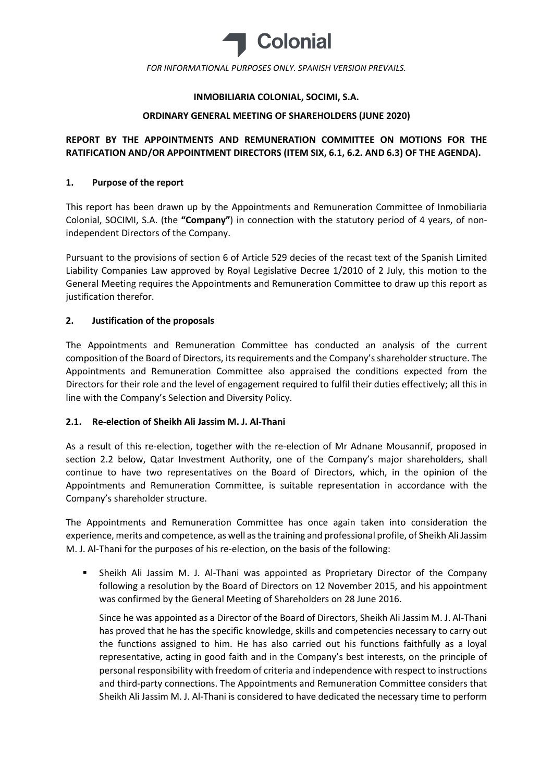

# INMOBILIARIA COLONIAL, SOCIMI, S.A.

## ORDINARY GENERAL MEETING OF SHAREHOLDERS (JUNE 2020)

# REPORT BY THE APPOINTMENTS AND REMUNERATION COMMITTEE ON MOTIONS FOR THE RATIFICATION AND/OR APPOINTMENT DIRECTORS (ITEM SIX, 6.1, 6.2. AND 6.3) OF THE AGENDA).

## 1. Purpose of the report

This report has been drawn up by the Appointments and Remuneration Committee of Inmobiliaria Colonial, SOCIMI, S.A. (the "Company") in connection with the statutory period of 4 years, of nonindependent Directors of the Company.

Pursuant to the provisions of section 6 of Article 529 decies of the recast text of the Spanish Limited Liability Companies Law approved by Royal Legislative Decree 1/2010 of 2 July, this motion to the General Meeting requires the Appointments and Remuneration Committee to draw up this report as justification therefor.

# 2. Justification of the proposals

The Appointments and Remuneration Committee has conducted an analysis of the current composition of the Board of Directors, its requirements and the Company's shareholder structure. The Appointments and Remuneration Committee also appraised the conditions expected from the Directors for their role and the level of engagement required to fulfil their duties effectively; all this in line with the Company's Selection and Diversity Policy.

### 2.1. Re-election of Sheikh Ali Jassim M. J. Al-Thani

As a result of this re-election, together with the re-election of Mr Adnane Mousannif, proposed in section 2.2 below, Qatar Investment Authority, one of the Company's major shareholders, shall continue to have two representatives on the Board of Directors, which, in the opinion of the Appointments and Remuneration Committee, is suitable representation in accordance with the Company's shareholder structure.

The Appointments and Remuneration Committee has once again taken into consideration the experience, merits and competence, as well as the training and professional profile, of Sheikh Ali Jassim M. J. Al-Thani for the purposes of his re-election, on the basis of the following:

 Sheikh Ali Jassim M. J. Al-Thani was appointed as Proprietary Director of the Company following a resolution by the Board of Directors on 12 November 2015, and his appointment was confirmed by the General Meeting of Shareholders on 28 June 2016.

Since he was appointed as a Director of the Board of Directors, Sheikh Ali Jassim M. J. Al-Thani has proved that he has the specific knowledge, skills and competencies necessary to carry out the functions assigned to him. He has also carried out his functions faithfully as a loyal representative, acting in good faith and in the Company's best interests, on the principle of personal responsibility with freedom of criteria and independence with respect to instructions and third-party connections. The Appointments and Remuneration Committee considers that Sheikh Ali Jassim M. J. Al-Thani is considered to have dedicated the necessary time to perform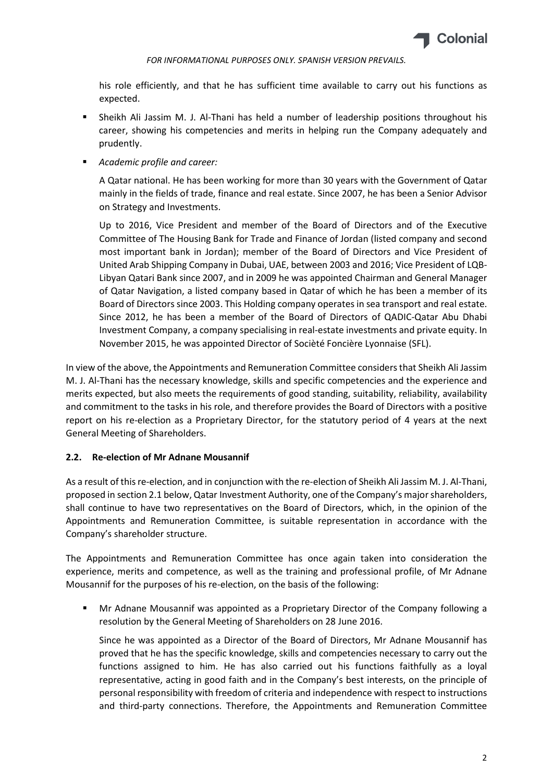

his role efficiently, and that he has sufficient time available to carry out his functions as expected.

- Sheikh Ali Jassim M. J. Al-Thani has held a number of leadership positions throughout his career, showing his competencies and merits in helping run the Company adequately and prudently.
- Academic profile and career:

A Qatar national. He has been working for more than 30 years with the Government of Qatar mainly in the fields of trade, finance and real estate. Since 2007, he has been a Senior Advisor on Strategy and Investments.

Up to 2016, Vice President and member of the Board of Directors and of the Executive Committee of The Housing Bank for Trade and Finance of Jordan (listed company and second most important bank in Jordan); member of the Board of Directors and Vice President of United Arab Shipping Company in Dubai, UAE, between 2003 and 2016; Vice President of LQB-Libyan Qatari Bank since 2007, and in 2009 he was appointed Chairman and General Manager of Qatar Navigation, a listed company based in Qatar of which he has been a member of its Board of Directors since 2003. This Holding company operates in sea transport and real estate. Since 2012, he has been a member of the Board of Directors of QADIC-Qatar Abu Dhabi Investment Company, a company specialising in real-estate investments and private equity. In November 2015, he was appointed Director of Socièté Foncière Lyonnaise (SFL).

In view of the above, the Appointments and Remuneration Committee considers that Sheikh Ali Jassim M. J. Al-Thani has the necessary knowledge, skills and specific competencies and the experience and merits expected, but also meets the requirements of good standing, suitability, reliability, availability and commitment to the tasks in his role, and therefore provides the Board of Directors with a positive report on his re-election as a Proprietary Director, for the statutory period of 4 years at the next General Meeting of Shareholders.

### 2.2. Re-election of Mr Adnane Mousannif

As a result of this re-election, and in conjunction with the re-election of Sheikh Ali Jassim M. J. Al-Thani, proposed in section 2.1 below, Qatar Investment Authority, one of the Company's major shareholders, shall continue to have two representatives on the Board of Directors, which, in the opinion of the Appointments and Remuneration Committee, is suitable representation in accordance with the Company's shareholder structure.

The Appointments and Remuneration Committee has once again taken into consideration the experience, merits and competence, as well as the training and professional profile, of Mr Adnane Mousannif for the purposes of his re-election, on the basis of the following:

 Mr Adnane Mousannif was appointed as a Proprietary Director of the Company following a resolution by the General Meeting of Shareholders on 28 June 2016.

Since he was appointed as a Director of the Board of Directors, Mr Adnane Mousannif has proved that he has the specific knowledge, skills and competencies necessary to carry out the functions assigned to him. He has also carried out his functions faithfully as a loyal representative, acting in good faith and in the Company's best interests, on the principle of personal responsibility with freedom of criteria and independence with respect to instructions and third-party connections. Therefore, the Appointments and Remuneration Committee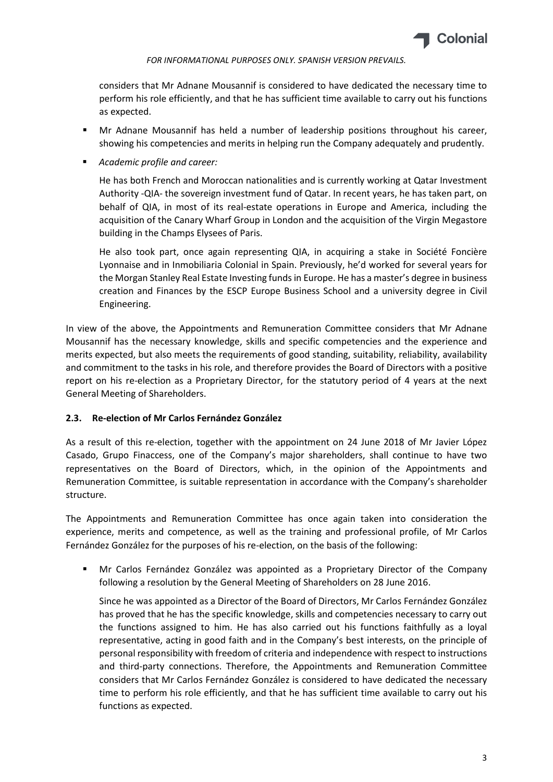

considers that Mr Adnane Mousannif is considered to have dedicated the necessary time to perform his role efficiently, and that he has sufficient time available to carry out his functions as expected.

- **Mr Adnane Mousannif has held a number of leadership positions throughout his career,** showing his competencies and merits in helping run the Company adequately and prudently.
- Academic profile and career:

He has both French and Moroccan nationalities and is currently working at Qatar Investment Authority -QIA- the sovereign investment fund of Qatar. In recent years, he has taken part, on behalf of QIA, in most of its real-estate operations in Europe and America, including the acquisition of the Canary Wharf Group in London and the acquisition of the Virgin Megastore building in the Champs Elysees of Paris.

He also took part, once again representing QIA, in acquiring a stake in Société Foncière Lyonnaise and in Inmobiliaria Colonial in Spain. Previously, he'd worked for several years for the Morgan Stanley Real Estate Investing funds in Europe. He has a master's degree in business creation and Finances by the ESCP Europe Business School and a university degree in Civil Engineering.

In view of the above, the Appointments and Remuneration Committee considers that Mr Adnane Mousannif has the necessary knowledge, skills and specific competencies and the experience and merits expected, but also meets the requirements of good standing, suitability, reliability, availability and commitment to the tasks in his role, and therefore provides the Board of Directors with a positive report on his re-election as a Proprietary Director, for the statutory period of 4 years at the next General Meeting of Shareholders.

### 2.3. Re-election of Mr Carlos Fernández González

As a result of this re-election, together with the appointment on 24 June 2018 of Mr Javier López Casado, Grupo Finaccess, one of the Company's major shareholders, shall continue to have two representatives on the Board of Directors, which, in the opinion of the Appointments and Remuneration Committee, is suitable representation in accordance with the Company's shareholder structure.

The Appointments and Remuneration Committee has once again taken into consideration the experience, merits and competence, as well as the training and professional profile, of Mr Carlos Fernández González for the purposes of his re-election, on the basis of the following:

 Mr Carlos Fernández González was appointed as a Proprietary Director of the Company following a resolution by the General Meeting of Shareholders on 28 June 2016.

Since he was appointed as a Director of the Board of Directors, Mr Carlos Fernández González has proved that he has the specific knowledge, skills and competencies necessary to carry out the functions assigned to him. He has also carried out his functions faithfully as a loyal representative, acting in good faith and in the Company's best interests, on the principle of personal responsibility with freedom of criteria and independence with respect to instructions and third-party connections. Therefore, the Appointments and Remuneration Committee considers that Mr Carlos Fernández González is considered to have dedicated the necessary time to perform his role efficiently, and that he has sufficient time available to carry out his functions as expected.